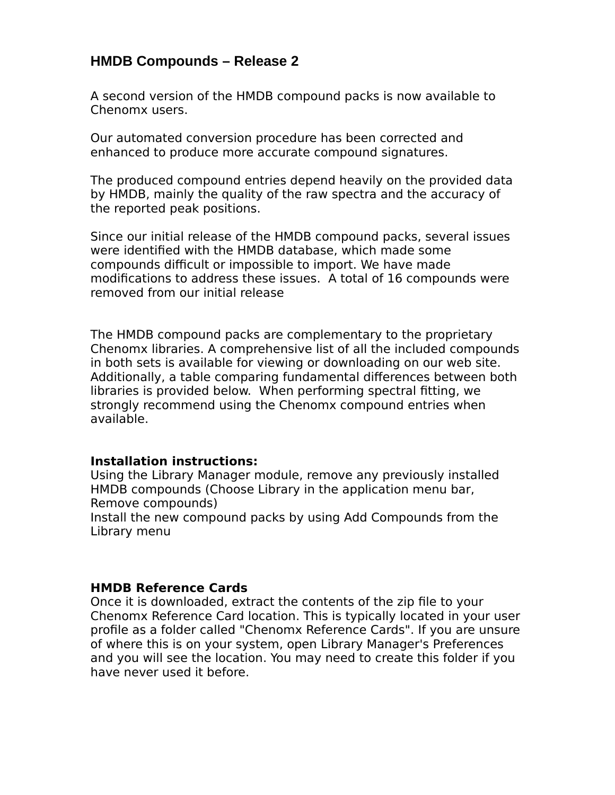## **HMDB Compounds – Release 2**

A second version of the HMDB compound packs is now available to Chenomx users.

Our automated conversion procedure has been corrected and enhanced to produce more accurate compound signatures.

The produced compound entries depend heavily on the provided data by HMDB, mainly the quality of the raw spectra and the accuracy of the reported peak positions.

Since our initial release of the HMDB compound packs, several issues were identified with the HMDB database, which made some compounds difficult or impossible to import. We have made modifications to address these issues. A total of 16 compounds were removed from our initial release

The HMDB compound packs are complementary to the proprietary Chenomx libraries. A comprehensive list of all the included compounds in both sets is available for viewing or downloading on our web site. Additionally, a table comparing fundamental differences between both libraries is provided below. When performing spectral fitting, we strongly recommend using the Chenomx compound entries when available.

## **Installation instructions:**

Using the Library Manager module, remove any previously installed HMDB compounds (Choose Library in the application menu bar, Remove compounds)

Install the new compound packs by using Add Compounds from the Library menu

## **HMDB Reference Cards**

Once it is downloaded, extract the contents of the zip file to your Chenomx Reference Card location. This is typically located in your user profile as a folder called "Chenomx Reference Cards". If you are unsure of where this is on your system, open Library Manager's Preferences and you will see the location. You may need to create this folder if you have never used it before.